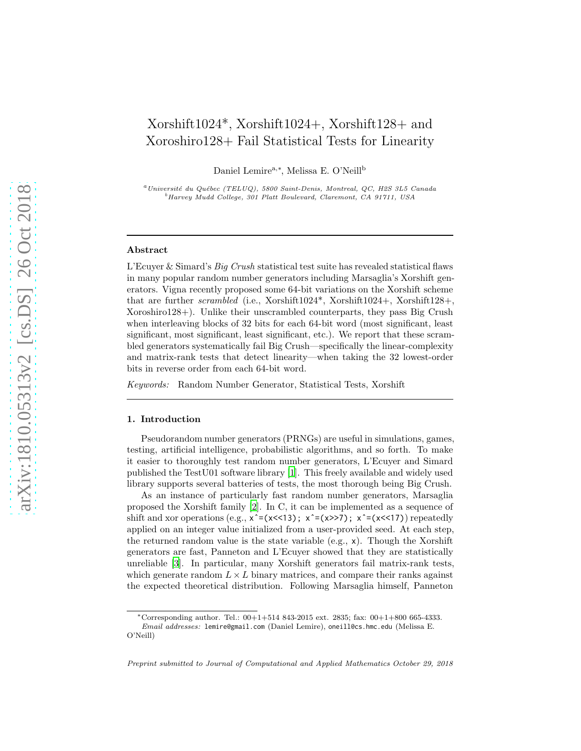# Xorshift1024\*, Xorshift1024+, Xorshift128+ and Xoroshiro128+ Fail Statistical Tests for Linearity

Daniel Lemire<sup>a,∗</sup>, Melissa E. O'Neill<sup>b</sup>

<sup>a</sup>Université du Québec (TELUQ), 5800 Saint-Denis, Montreal, QC, H2S 3L5 Canada <sup>b</sup>Harvey Mudd College, 301 Platt Boulevard, Claremont, CA 91711, USA

### Abstract

L'Ecuyer & Simard's  $Big$  Crush statistical test suite has revealed statistical flaws in many popular random number generators including Marsaglia's Xorshift generators. Vigna recently proposed some 64-bit variations on the Xorshift scheme that are further scrambled (i.e., Xorshift1024\*, Xorshift1024+, Xorshift128+, Xoroshiro128+). Unlike their unscrambled counterparts, they pass Big Crush when interleaving blocks of 32 bits for each 64-bit word (most significant, least significant, most significant, least significant, etc.). We report that these scrambled generators systematically fail Big Crush—specifically the linear-complexity and matrix-rank tests that detect linearity—when taking the 32 lowest-order bits in reverse order from each 64-bit word.

Keywords: Random Number Generator, Statistical Tests, Xorshift

#### 1. Introduction

Pseudorandom number generators (PRNGs) are useful in simulations, games, testing, artificial intelligence, probabilistic algorithms, and so forth. To make it easier to thoroughly test random number generators, L'Ecuyer and Simard published the TestU01 software library [\[1\]](#page-3-0). This freely available and widely used library supports several batteries of tests, the most thorough being Big Crush.

As an instance of particularly fast random number generators, Marsaglia proposed the Xorshift family [\[2\]](#page-4-0). In C, it can be implemented as a sequence of shift and xor operations (e.g.,  $x^=(x\leq 13)$ ;  $x^=(x\geq 7)$ ;  $x^=(x\leq 17)$ ) repeatedly applied on an integer value initialized from a user-provided seed. At each step, the returned random value is the state variable (e.g., x). Though the Xorshift generators are fast, Panneton and L'Ecuyer showed that they are statistically unreliable [\[3\]](#page-4-1). In particular, many Xorshift generators fail matrix-rank tests, which generate random  $L \times L$  binary matrices, and compare their ranks against the expected theoretical distribution. Following Marsaglia himself, Panneton

 $*$ Corresponding author. Tel.:  $00+1+514$  843-2015 ext. 2835; fax:  $00+1+800$  665-4333. Email addresses: lemire@gmail.com (Daniel Lemire), oneill@cs.hmc.edu (Melissa E.

O'Neill)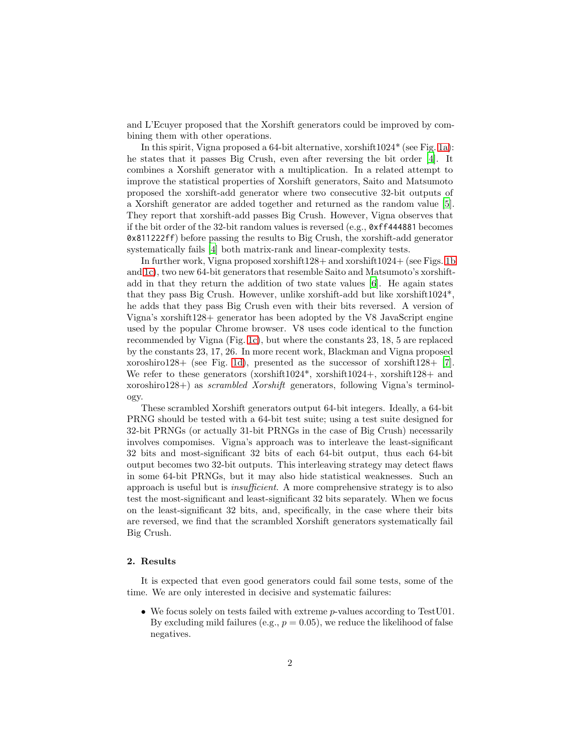and L'Ecuyer proposed that the Xorshift generators could be improved by combining them with other operations.

In this spirit, Vigna proposed a 64-bit alternative, xorshift $1024^*$  (see Fig. [1a\)](#page-2-0): he states that it passes Big Crush, even after reversing the bit order [\[4\]](#page-4-2). It combines a Xorshift generator with a multiplication. In a related attempt to improve the statistical properties of Xorshift generators, Saito and Matsumoto proposed the xorshift-add generator where two consecutive 32-bit outputs of a Xorshift generator are added together and returned as the random value [\[5\]](#page-4-3). They report that xorshift-add passes Big Crush. However, Vigna observes that if the bit order of the 32-bit random values is reversed (e.g.,  $\alpha$ xff444881 becomes 0x811222ff) before passing the results to Big Crush, the xorshift-add generator systematically fails [\[4](#page-4-2)] both matrix-rank and linear-complexity tests.

In further work, Vigna proposed xorshift128+ and xorshift1024+ (see Figs. [1b](#page-2-1) and [1c\)](#page-2-2), two new 64-bit generators that resemble Saito and Matsumoto's xorshiftadd in that they return the addition of two state values [\[6\]](#page-4-4). He again states that they pass Big Crush. However, unlike xorshift-add but like xorshift $1024^*$ , he adds that they pass Big Crush even with their bits reversed. A version of Vigna's xorshift128+ generator has been adopted by the V8 JavaScript engine used by the popular Chrome browser. V8 uses code identical to the function recommended by Vigna (Fig. [1c\)](#page-2-2), but where the constants 23, 18, 5 are replaced by the constants 23, 17, 26. In more recent work, Blackman and Vigna proposed xoroshiro128+ (see Fig. [1d\)](#page-2-3), presented as the successor of xorshift $128+$  [\[7\]](#page-4-5). We refer to these generators (xorshift $1024^*$ , xorshift $1024+$ , xorshift $128+$  and xoroshiro128+) as scrambled Xorshift generators, following Vigna's terminology.

These scrambled Xorshift generators output 64-bit integers. Ideally, a 64-bit PRNG should be tested with a 64-bit test suite; using a test suite designed for 32-bit PRNGs (or actually 31-bit PRNGs in the case of Big Crush) necessarily involves compomises. Vigna's approach was to interleave the least-significant 32 bits and most-significant 32 bits of each 64-bit output, thus each 64-bit output becomes two 32-bit outputs. This interleaving strategy may detect flaws in some 64-bit PRNGs, but it may also hide statistical weaknesses. Such an approach is useful but is *insufficient*. A more comprehensive strategy is to also test the most-significant and least-significant 32 bits separately. When we focus on the least-significant 32 bits, and, specifically, in the case where their bits are reversed, we find that the scrambled Xorshift generators systematically fail Big Crush.

## 2. Results

It is expected that even good generators could fail some tests, some of the time. We are only interested in decisive and systematic failures:

• We focus solely on tests failed with extreme p-values according to TestU01. By excluding mild failures (e.g.,  $p = 0.05$ ), we reduce the likelihood of false negatives.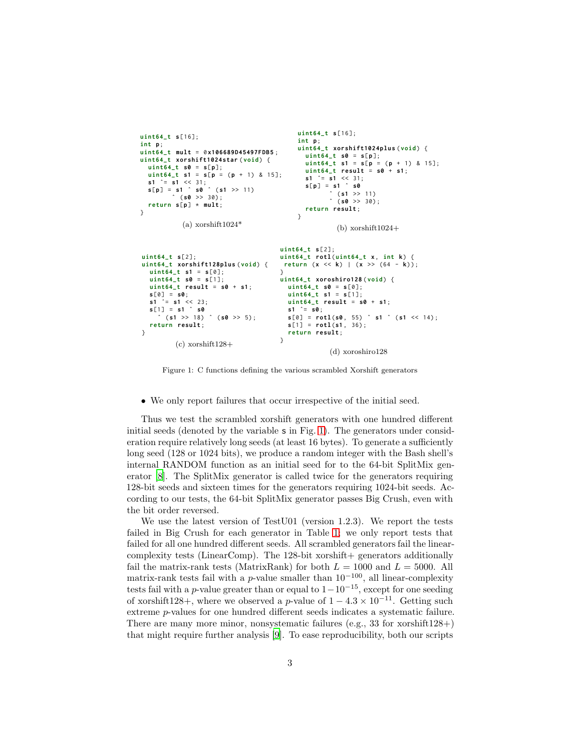```
uint64_t s[16];uint64_t s[16];int p;
int p;
                                                uint64_t xorshift1024plus(void) {
uint64_t mult = 0x106689D45497FDB5;uint64_t s0 = s[p];
uint64_t xorshift1024star (void) {
                                                  uint64_t s1 = s[p = (p + 1) & 15];
  uint64_t s0 = s[p];
                                                 uint64_t result = s0 + s1;<br>s1 ^= s1 << 31;
  uint64_t s1 = s[p = (p + 1) & 15];s[n] = s1 \le 31;<br>s[p] = s1 \hat{ } s0 \hat{ } (s1 >> 11)<br>(s0 >> 30);s[p] = s1s0
                                                           (s1 \gg 11)(50 \gg 30);return s[p] \times mult;return result;
\overline{\mathcal{E}}\rightarrow(a) xorshift1024*(b) xorshift1024+uint64_t s[2];uint64_t s[2];uint64_t rot1 (uint64_t x, int k) {
uint64_t xorshift128plus(void){
                                           return (x \ll k) | (x \gg (64 - k));uint64_t st = s[0];\mathcal{L}uint64 t s0 = s[1]:
                                          uint64 t xoroshiro128 (void) {
  uint64_t result = s0 + s1;
                                            uint64_t s0 = s[0];<br>uint64_t s1 = s[1];
  s[0] = s0;
  s1 \hat{ }=s1 << 23;
                                            uint64_t result = s0 + s1;
  s[1] = s1 \hat{ } s0s1 \t= s0;(50 \gt 5);(s1 \gg 18)s[0] = rot1(s0, 55) s1 (s1 << 14);
                                            s[1] = rot1(s1, 36);return result;
\overline{\mathbf{r}}return result;
                                          \mathcal{E}(c) xorshift128+
                                                         (d) xoroshiro128
```
<span id="page-2-3"></span><span id="page-2-2"></span>Figure 1: C functions defining the various scrambled Xorshift generators

• We only report failures that occur irrespective of the initial seed.

Thus we test the scrambled xorshift generators with one hundred different initial seeds (denoted by the variable s in Fig. 1). The generators under consideration require relatively long seeds (at least 16 bytes). To generate a sufficiently long seed (128 or 1024 bits), we produce a random integer with the Bash shell's internal RANDOM function as an initial seed for to the 64-bit SplitMix generator [8]. The SplitMix generator is called twice for the generators requiring 128-bit seeds and sixteen times for the generators requiring 1024-bit seeds. According to our tests, the 64-bit SplitMix generator passes Big Crush, even with the bit order reversed.

We use the latest version of TestU01 (version  $1.2.3$ ). We report the tests failed in Big Crush for each generator in Table 1; we only report tests that failed for all one hundred different seeds. All scrambled generators fail the linearcomplexity tests (LinearComp). The 128-bit xorshift  $\pm$  generators additionally fail the matrix-rank tests (MatrixRank) for both  $L = 1000$  and  $L = 5000$ . All matrix-rank tests fail with a p-value smaller than  $10^{-100}$ , all linear-complexity tests fail with a p-value greater than or equal to  $1-10^{-15}$ , except for one seeding of xorshift128+, where we observed a p-value of  $1-4.3 \times 10^{-11}$ . Getting such extreme p-values for one hundred different seeds indicates a systematic failure. There are many more minor, nonsystematic failures (e.g., 33 for xorshift  $128+$ ) that might require further analysis [9]. To ease reproducibility, both our scripts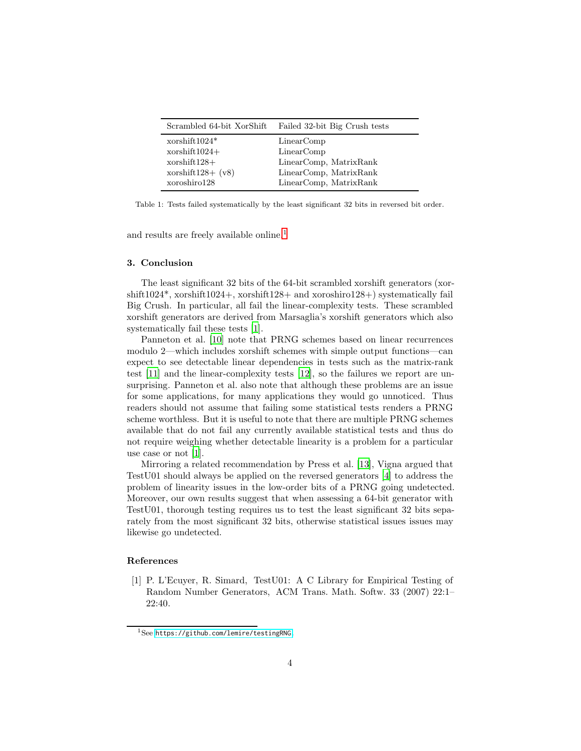<span id="page-3-1"></span>

| xorshift $1024*$<br>LinearComp<br>$x$ orshift $1024+$<br>LinearComp<br>$x$ orshift $128+$<br>LinearComp, MatrixRank<br>$x$ orshift $128 + (v8)$<br>LinearComp, MatrixRank | Scrambled 64-bit XorShift | Failed 32-bit Big Crush tests |
|---------------------------------------------------------------------------------------------------------------------------------------------------------------------------|---------------------------|-------------------------------|
|                                                                                                                                                                           | xoroshiro128              | LinearComp, MatrixRank        |

Table 1: Tests failed systematically by the least significant 32 bits in reversed bit order.

and results are freely available online.<sup>[1](#page-3-2)</sup>

### 3. Conclusion

The least significant 32 bits of the 64-bit scrambled xorshift generators (xorshift1024\*, xorshift1024+, xorshift128+ and xoroshiro128+) systematically fail Big Crush. In particular, all fail the linear-complexity tests. These scrambled xorshift generators are derived from Marsaglia's xorshift generators which also systematically fail these tests [\[1](#page-3-0)].

Panneton et al. [\[10\]](#page-4-8) note that PRNG schemes based on linear recurrences modulo 2—which includes xorshift schemes with simple output functions—can expect to see detectable linear dependencies in tests such as the matrix-rank test [\[11\]](#page-4-9) and the linear-complexity tests [\[12](#page-4-10)], so the failures we report are unsurprising. Panneton et al. also note that although these problems are an issue for some applications, for many applications they would go unnoticed. Thus readers should not assume that failing some statistical tests renders a PRNG scheme worthless. But it is useful to note that there are multiple PRNG schemes available that do not fail any currently available statistical tests and thus do not require weighing whether detectable linearity is a problem for a particular use case or not [\[1\]](#page-3-0).

Mirroring a related recommendation by Press et al. [\[13\]](#page-4-11), Vigna argued that TestU01 should always be applied on the reversed generators [\[4](#page-4-2)] to address the problem of linearity issues in the low-order bits of a PRNG going undetected. Moreover, our own results suggest that when assessing a 64-bit generator with TestU01, thorough testing requires us to test the least significant 32 bits separately from the most significant 32 bits, otherwise statistical issues issues may likewise go undetected.

# References

<span id="page-3-0"></span>[1] P. L'Ecuyer, R. Simard, TestU01: A C Library for Empirical Testing of Random Number Generators, ACM Trans. Math. Softw. 33 (2007) 22:1– 22:40.

<span id="page-3-2"></span><sup>1</sup>See <https://github.com/lemire/testingRNG>.